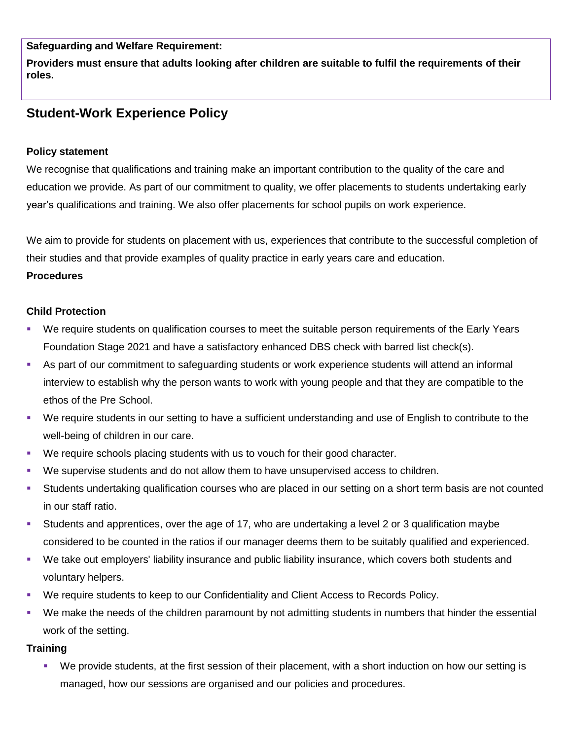**Safeguarding and Welfare Requirement:**

**Providers must ensure that adults looking after children are suitable to fulfil the requirements of their roles.**

# **Student-Work Experience Policy**

### **Policy statement**

We recognise that qualifications and training make an important contribution to the quality of the care and education we provide. As part of our commitment to quality, we offer placements to students undertaking early year's qualifications and training. We also offer placements for school pupils on work experience.

We aim to provide for students on placement with us, experiences that contribute to the successful completion of their studies and that provide examples of quality practice in early years care and education.

#### **Procedures**

## **Child Protection**

- We require students on qualification courses to meet the suitable person requirements of the Early Years Foundation Stage 2021 and have a satisfactory enhanced DBS check with barred list check(s).
- As part of our commitment to safeguarding students or work experience students will attend an informal interview to establish why the person wants to work with young people and that they are compatible to the ethos of the Pre School.
- We require students in our setting to have a sufficient understanding and use of English to contribute to the well-being of children in our care.
- We require schools placing students with us to vouch for their good character.
- We supervise students and do not allow them to have unsupervised access to children.
- Students undertaking qualification courses who are placed in our setting on a short term basis are not counted in our staff ratio.
- Students and apprentices, over the age of 17, who are undertaking a level 2 or 3 qualification maybe considered to be counted in the ratios if our manager deems them to be suitably qualified and experienced.
- We take out employers' liability insurance and public liability insurance, which covers both students and voluntary helpers.
- We require students to keep to our Confidentiality and Client Access to Records Policy.
- We make the needs of the children paramount by not admitting students in numbers that hinder the essential work of the setting.

## **Training**

 We provide students, at the first session of their placement, with a short induction on how our setting is managed, how our sessions are organised and our policies and procedures.